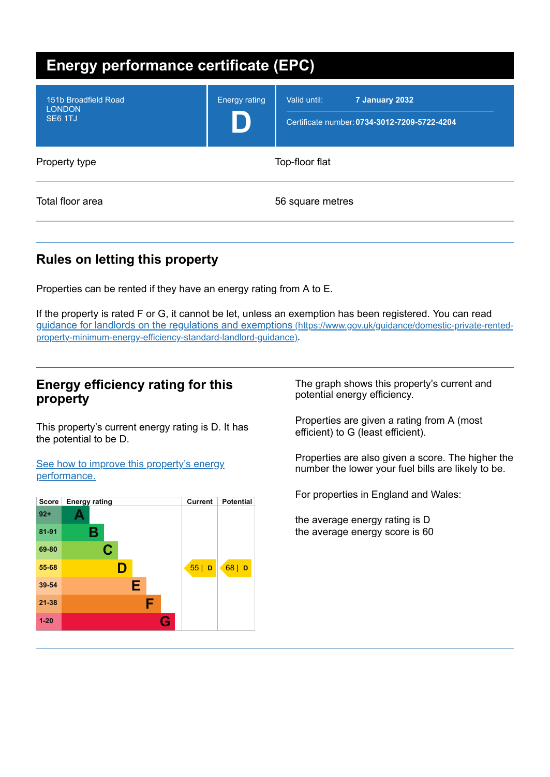| <b>Energy performance certificate (EPC)</b>      |                      |                                                                                |
|--------------------------------------------------|----------------------|--------------------------------------------------------------------------------|
| 151b Broadfield Road<br><b>LONDON</b><br>SE6 1TJ | <b>Energy rating</b> | Valid until:<br>7 January 2032<br>Certificate number: 0734-3012-7209-5722-4204 |
| Property type                                    | Top-floor flat       |                                                                                |
| Total floor area                                 | 56 square metres     |                                                                                |

# **Rules on letting this property**

Properties can be rented if they have an energy rating from A to E.

If the property is rated F or G, it cannot be let, unless an exemption has been registered. You can read guidance for landlords on the regulations and exemptions (https://www.gov.uk/guidance/domestic-private-rented[property-minimum-energy-efficiency-standard-landlord-guidance\)](https://www.gov.uk/guidance/domestic-private-rented-property-minimum-energy-efficiency-standard-landlord-guidance).

## **Energy efficiency rating for this property**

This property's current energy rating is D. It has the potential to be D.

See how to improve this property's energy [performance.](#page-2-0)



The graph shows this property's current and potential energy efficiency.

Properties are given a rating from A (most efficient) to G (least efficient).

Properties are also given a score. The higher the number the lower your fuel bills are likely to be.

For properties in England and Wales:

the average energy rating is D the average energy score is 60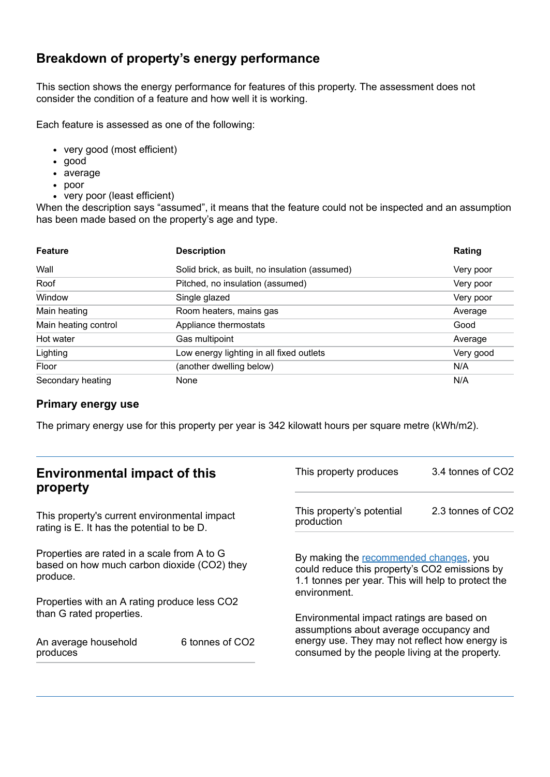# **Breakdown of property's energy performance**

This section shows the energy performance for features of this property. The assessment does not consider the condition of a feature and how well it is working.

Each feature is assessed as one of the following:

- very good (most efficient)
- good
- average
- poor
- very poor (least efficient)

When the description says "assumed", it means that the feature could not be inspected and an assumption has been made based on the property's age and type.

| <b>Feature</b>       | <b>Description</b>                             | Rating    |
|----------------------|------------------------------------------------|-----------|
| Wall                 | Solid brick, as built, no insulation (assumed) | Very poor |
| Roof                 | Pitched, no insulation (assumed)               | Very poor |
| Window               | Single glazed                                  | Very poor |
| Main heating         | Room heaters, mains gas                        | Average   |
| Main heating control | Appliance thermostats                          | Good      |
| Hot water            | Gas multipoint                                 | Average   |
| Lighting             | Low energy lighting in all fixed outlets       | Very good |
| Floor                | (another dwelling below)                       | N/A       |
| Secondary heating    | None                                           | N/A       |

#### **Primary energy use**

The primary energy use for this property per year is 342 kilowatt hours per square metre (kWh/m2).

| <b>Environmental impact of this</b><br>property                                                        |                             | This property produces                                                                                                                                        | 3.4 tonnes of CO2 |
|--------------------------------------------------------------------------------------------------------|-----------------------------|---------------------------------------------------------------------------------------------------------------------------------------------------------------|-------------------|
| This property's current environmental impact<br>rating is E. It has the potential to be D.             |                             | This property's potential<br>production                                                                                                                       | 2.3 tonnes of CO2 |
| Properties are rated in a scale from A to G<br>based on how much carbon dioxide (CO2) they<br>produce. |                             | By making the recommended changes, you<br>could reduce this property's CO2 emissions by<br>1.1 tonnes per year. This will help to protect the<br>environment. |                   |
| Properties with an A rating produce less CO2                                                           |                             |                                                                                                                                                               |                   |
| than G rated properties.<br>An average household                                                       | 6 tonnes of CO <sub>2</sub> | Environmental impact ratings are based on<br>assumptions about average occupancy and<br>energy use. They may not reflect how energy is                        |                   |
| produces                                                                                               |                             | consumed by the people living at the property.                                                                                                                |                   |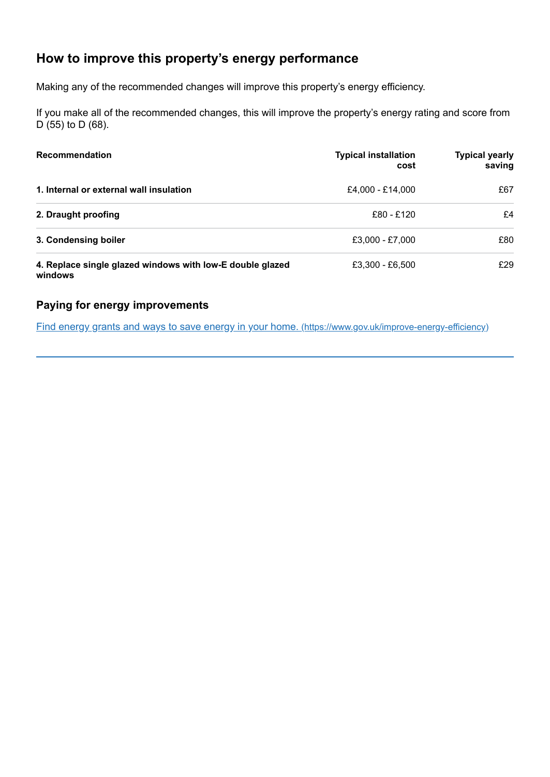# <span id="page-2-0"></span>**How to improve this property's energy performance**

Making any of the recommended changes will improve this property's energy efficiency.

If you make all of the recommended changes, this will improve the property's energy rating and score from D (55) to D (68).

| <b>Recommendation</b>                                                | <b>Typical installation</b><br>cost | <b>Typical yearly</b><br>saving |
|----------------------------------------------------------------------|-------------------------------------|---------------------------------|
| 1. Internal or external wall insulation                              | £4,000 - £14,000                    | £67                             |
| 2. Draught proofing                                                  | £80 - £120                          | £4                              |
| 3. Condensing boiler                                                 | £3,000 - £7,000                     | £80                             |
| 4. Replace single glazed windows with low-E double glazed<br>windows | £3.300 - £6.500                     | £29                             |

#### **Paying for energy improvements**

Find energy grants and ways to save energy in your home. [\(https://www.gov.uk/improve-energy-efficiency\)](https://www.gov.uk/improve-energy-efficiency)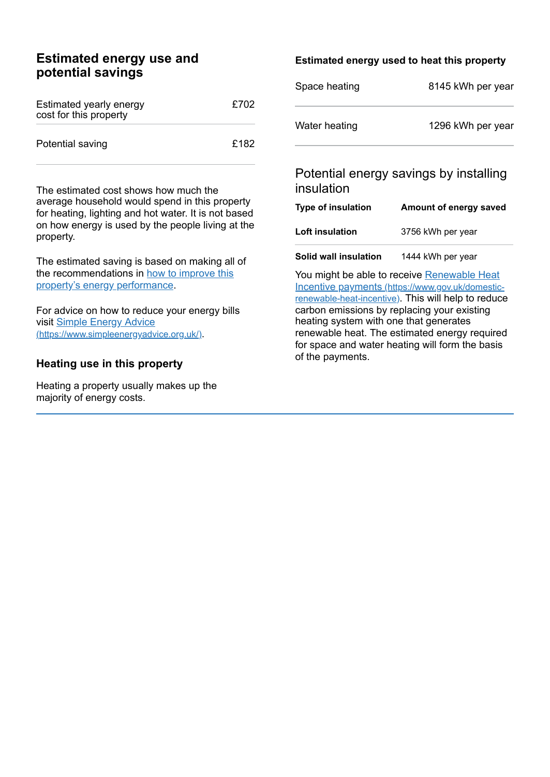## **Estimated energy use and potential savings**

| Estimated yearly energy<br>cost for this property | £702 |
|---------------------------------------------------|------|
| Potential saving                                  | £182 |

The estimated cost shows how much the average household would spend in this property for heating, lighting and hot water. It is not based on how energy is used by the people living at the property.

The estimated saving is based on making all of the [recommendations](#page-2-0) in how to improve this property's energy performance.

For advice on how to reduce your energy bills visit Simple Energy Advice [\(https://www.simpleenergyadvice.org.uk/\)](https://www.simpleenergyadvice.org.uk/).

#### **Heating use in this property**

Heating a property usually makes up the majority of energy costs.

#### **Estimated energy used to heat this property**

| Space heating | 8145 kWh per year |
|---------------|-------------------|
| Water heating | 1296 kWh per year |

## Potential energy savings by installing insulation

| Type of insulation | Amount of energy saved |
|--------------------|------------------------|
| Loft insulation    | 3756 kWh per year      |
|                    |                        |

**Solid wall insulation** 1444 kWh per year

You might be able to receive Renewable Heat Incentive payments [\(https://www.gov.uk/domestic](https://www.gov.uk/domestic-renewable-heat-incentive)renewable-heat-incentive). This will help to reduce carbon emissions by replacing your existing heating system with one that generates renewable heat. The estimated energy required for space and water heating will form the basis of the payments.